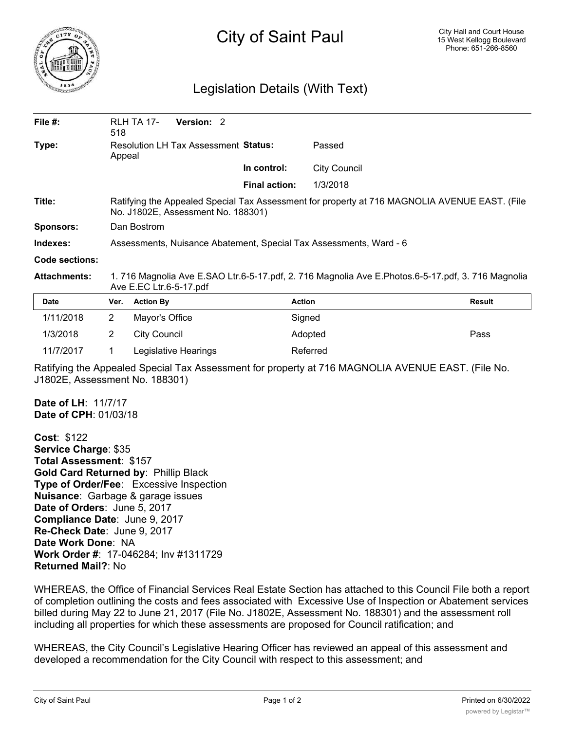

## City of Saint Paul

## Legislation Details (With Text)

| File #:             | 518                                                                                                                                 | Version: 2<br><b>RLH TA 17-</b> |                      |                     |               |
|---------------------|-------------------------------------------------------------------------------------------------------------------------------------|---------------------------------|----------------------|---------------------|---------------|
| Type:               | Resolution LH Tax Assessment Status:<br>Appeal                                                                                      |                                 |                      | Passed              |               |
|                     |                                                                                                                                     |                                 | In control:          | <b>City Council</b> |               |
|                     |                                                                                                                                     |                                 | <b>Final action:</b> | 1/3/2018            |               |
| Title:              | Ratifying the Appealed Special Tax Assessment for property at 716 MAGNOLIA AVENUE EAST. (File<br>No. J1802E, Assessment No. 188301) |                                 |                      |                     |               |
| <b>Sponsors:</b>    | Dan Bostrom                                                                                                                         |                                 |                      |                     |               |
| Indexes:            | Assessments, Nuisance Abatement, Special Tax Assessments, Ward - 6                                                                  |                                 |                      |                     |               |
| Code sections:      |                                                                                                                                     |                                 |                      |                     |               |
| <b>Attachments:</b> | 1. 716 Magnolia Ave E.SAO Ltr.6-5-17.pdf, 2. 716 Magnolia Ave E.Photos.6-5-17.pdf, 3. 716 Magnolia<br>Ave E.EC Ltr.6-5-17.pdf       |                                 |                      |                     |               |
| <b>Date</b>         | Ver.                                                                                                                                | <b>Action By</b>                | <b>Action</b>        |                     | <b>Result</b> |
| 1/11/2018           | $\overline{2}$                                                                                                                      | Mayor's Office                  |                      | Signed              |               |
| 1/3/2018            | 2                                                                                                                                   | <b>City Council</b>             |                      | Adopted             | Pass          |
| 11/7/2017           |                                                                                                                                     | Legislative Hearings            |                      | Referred            |               |

Ratifying the Appealed Special Tax Assessment for property at 716 MAGNOLIA AVENUE EAST. (File No. J1802E, Assessment No. 188301)

**Date of LH**: 11/7/17 **Date of CPH**: 01/03/18

**Cost**: \$122 **Service Charge**: \$35 **Total Assessment**: \$157 **Gold Card Returned by**: Phillip Black **Type of Order/Fee**: Excessive Inspection **Nuisance**: Garbage & garage issues **Date of Orders**: June 5, 2017 **Compliance Date**: June 9, 2017 **Re-Check Date**: June 9, 2017 **Date Work Done**: NA **Work Order #**: 17-046284; Inv #1311729 **Returned Mail?**: No

WHEREAS, the Office of Financial Services Real Estate Section has attached to this Council File both a report of completion outlining the costs and fees associated with Excessive Use of Inspection or Abatement services billed during May 22 to June 21, 2017 (File No. J1802E, Assessment No. 188301) and the assessment roll including all properties for which these assessments are proposed for Council ratification; and

WHEREAS, the City Council's Legislative Hearing Officer has reviewed an appeal of this assessment and developed a recommendation for the City Council with respect to this assessment; and